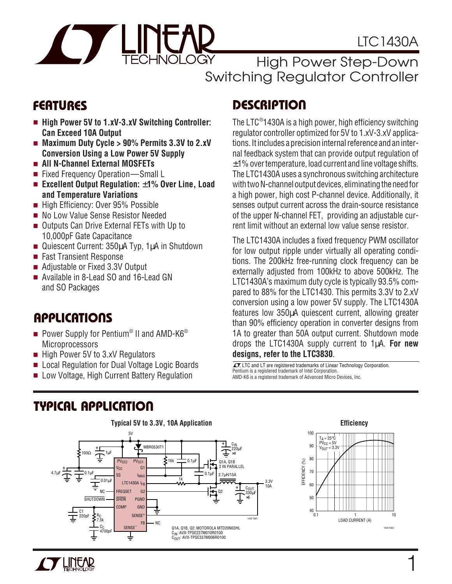# LTC1430A



High Power Step-Down Switching Regulator Controller

- High Power 5V to 1.xV-3.xV Switching Controller: **Can Exceed 10A Output**
- Maximum Duty Cycle > 90% Permits 3.3V to 2.xV **Conversion Using a Low Power 5V Supply**
- **All N-Channel External MOSFETs**
- Fixed Frequency Operation—Small L
- **Excellent Output Regulation: ±1% Over Line, Load and Temperature Variations**
- High Efficiency: Over 95% Possible
- No Low Value Sense Resistor Needed
- Outputs Can Drive External FETs with Up to 10,000pF Gate Capacitance
- Quiescent Current: 350µA Typ, 1µA in Shutdown
- Fast Transient Response
- Adjustable or Fixed 3.3V Output
- Available in 8-Lead SO and 16-Lead GN and SO Packages

### **U A S O PPLICATI**

- $\blacksquare$  Power Supply for Pentium® II and AMD-K6® **Microprocessors**
- High Power 5V to 3.xV Regulators

**U A O TYPICAL PPLICATI**

- Local Regulation for Dual Voltage Logic Boards
- Low Voltage, High Current Battery Regulation

# **FEATURES DESCRIPTION**

The LTC® 1430A is a high power, high efficiency switching regulator controller optimized for 5V to 1.xV-3.xV applications. It includes a precision internal reference and an internal feedback system that can provide output regulation of  $\pm$ 1% over temperature, load current and line voltage shifts. The LTC1430A uses a synchronous switching architecture with two N-channel output devices, eliminating the need for a high power, high cost P-channel device. Additionally, it senses output current across the drain-source resistance of the upper N-channel FET, providing an adjustable current limit without an external low value sense resistor.

The LTC1430A includes a fixed frequency PWM oscillator for low output ripple under virtually all operating conditions. The 200kHz free-running clock frequency can be externally adjusted from 100kHz to above 500kHz. The LTC1430A's maximum duty cycle is typically 93.5% compared to 88% for the LTC1430. This permits 3.3V to 2.xV conversion using a low power 5V supply. The LTC1430A features low 350µA quiescent current, allowing greater than 90% efficiency operation in converter designs from 1A to greater than 50A output current. Shutdown mode drops the LTC1430A supply current to 1µA. **For new designs, refer to the LTC3830**.

 $\overline{\mathcal{I}}$ , LTC and LT are registered trademarks of Linear Technology Corporation. Pentium is a registered trademark of Intel Corporation. AMD-K6 is a registered trademark of Advanced Micro Devices, Inc.



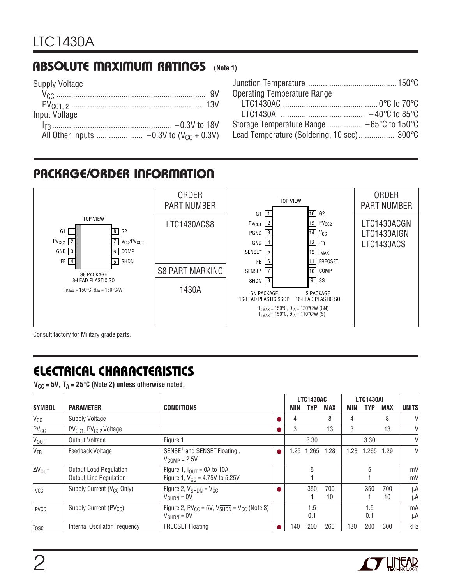### **ABSOLUTE MAXIMUM RATINGS** (Note 1)

| <b>Supply Voltage</b> |  |
|-----------------------|--|
|                       |  |
|                       |  |
| Input Voltage         |  |
|                       |  |
|                       |  |

| <b>Operating Temperature Range</b>                            |  |
|---------------------------------------------------------------|--|
|                                                               |  |
|                                                               |  |
| Storage Temperature Range $-65^{\circ}$ C to 150 $^{\circ}$ C |  |
| Lead Temperature (Soldering, 10 sec) 300°C                    |  |

# **PACKAGE/ORDER INFORMATION**



Consult factory for Military grade parts.

# **ELECTRICAL CHARACTERISTICS**

 $V_{CC}$  = 5V,  $T_A$  = 25 $\degree$ C (Note 2) unless otherwise noted.

|                          |                                                                |                                                                                              |     | <b>LTC1430AC</b> |            |      | <b>LTC1430AI</b> |            |              |
|--------------------------|----------------------------------------------------------------|----------------------------------------------------------------------------------------------|-----|------------------|------------|------|------------------|------------|--------------|
| <b>SYMBOL</b>            | <b>PARAMETER</b>                                               | <b>CONDITIONS</b>                                                                            | MIN | TYP              | <b>MAX</b> | MIN  | TYP              | <b>MAX</b> | <b>UNITS</b> |
| $V_{CC}$                 | <b>Supply Voltage</b>                                          |                                                                                              | 4   |                  | 8          | 4    |                  | 8          | $\vee$       |
| PV <sub>CC</sub>         | PV <sub>CC1</sub> , PV <sub>CC2</sub> Voltage                  |                                                                                              | 3   |                  | 13         | 3    |                  | 13         | V            |
| <b>V<sub>OUT</sub></b>   | <b>Output Voltage</b>                                          | Figure 1                                                                                     |     | 3.30             |            |      | 3.30             |            | V            |
| $V_{FB}$                 | Feedback Voltage                                               | SENSE <sup>+</sup> and SENSE <sup>-</sup> Floating,<br>$V_{COMP} = 2.5V$                     | .25 | 1.265            | 1.28       | 1.23 | 1.265            | 1.29       | $\vee$       |
| $\Delta V_{\text{OUT}}$  | <b>Output Load Regulation</b><br><b>Output Line Regulation</b> | Figure 1, $I_{\text{OUT}} = 0A$ to 10A<br>Figure 1, $V_{CC} = 4.75V$ to 5.25V                |     | 5                |            |      | 5                |            | mV<br>mV     |
| <b>I</b> vcc             | Supply Current (V <sub>CC</sub> Only)                          | Figure 2, $V_{\overline{\text{SHDN}}} = V_{\text{CC}}$<br>$V_{\overline{\text{SHDN}}} = 0V$  |     | 350              | 700<br>10  |      | 350              | 700<br>10  | μA<br>μA     |
| <b>I</b> <sub>PVCC</sub> | Supply Current (PV <sub>CC</sub> )                             | Figure 2, $PV_{CC} = 5V$ , $V_{SHDN} = V_{CC}$ (Note 3)<br>$V_{\overline{\text{SHDN}}} = 0V$ |     | 1.5<br>0.1       |            |      | 1.5<br>0.1       |            | mA<br>μA     |
| $f_{\rm OSC}$            | Internal Oscillator Frequency                                  | <b>FREQSET Floating</b>                                                                      | 140 | 200              | 260        | 130  | 200              | 300        | kHz          |

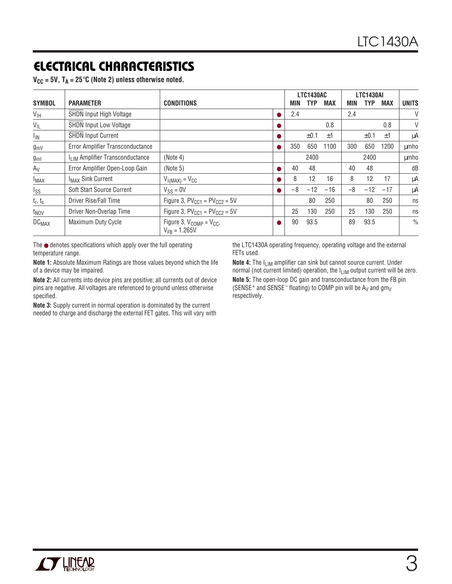# **ELECTRICAL CHARACTERISTICS**

|  |  |  |  |  |  |  | $V_{CC}$ = 5V, T <sub>A</sub> = 25°C (Note 2) unless otherwise noted. |  |
|--|--|--|--|--|--|--|-----------------------------------------------------------------------|--|
|--|--|--|--|--|--|--|-----------------------------------------------------------------------|--|

|                         |                                             |                                                      |      | <b>LTC1430AC</b> |            |      | <b>LTC1430AI</b> |       |               |
|-------------------------|---------------------------------------------|------------------------------------------------------|------|------------------|------------|------|------------------|-------|---------------|
| <b>SYMBOL</b>           | <b>PARAMETER</b>                            | <b>CONDITIONS</b>                                    | MIN  | <b>TYP</b>       | <b>MAX</b> | MIN  | TYP              | MAX   | <b>UNITS</b>  |
| $V_{\text{IH}}$         | <b>SHDN Input High Voltage</b>              |                                                      | 2.4  |                  |            | 2.4  |                  |       | V             |
| $V_{IL}$                | <b>SHDN Input Low Voltage</b>               |                                                      |      |                  | 0.8        |      |                  | 0.8   | V             |
| <b>I<sub>IN</sub></b>   | <b>SHDN Input Current</b>                   |                                                      |      | $\pm 0.1$        | ±1         |      | ±0.1             | ±1    | μA            |
| $g_{mV}$                | Error Amplifier Transconductance            |                                                      | 350  | 650              | 1100       | 300  | 650              | 1200  | umho          |
| $g_{ml}$                | I <sub>LIM</sub> Amplifier Transconductance | (Note 4)                                             |      | 2400             |            |      | 2400             |       | umho          |
| $A_V$                   | Error Amplifier Open-Loop Gain              | (Note 5)                                             | 40   | 48               |            | 40   | 48               |       | dB            |
| <b>IMAX</b>             | <b>I<sub>MAX</sub> Sink Current</b>         | $V_{I(MAX)} = V_{CC}$                                | 8    | 12               | 16         | 8    | 12               | 17    | μA            |
| I <sub>SS</sub>         | Soft Start Source Current                   | $V_{SS} = 0V$                                        | $-8$ | $-12$            | $-16$      | $-8$ | $-12$            | $-17$ | μA            |
| $t_r$ , $t_s$           | Driver Rise/Fall Time                       | Figure 3, $PV_{CC1} = PV_{CC2} = 5V$                 |      | 80               | 250        |      | 80               | 250   | ns            |
| t <sub>NOV</sub>        | Driver Non-Overlap Time                     | Figure 3, $PV_{CC1} = PV_{CC2} = 5V$                 | 25   | 130              | 250        | 25   | 130              | 250   | ns            |
| <b>DC<sub>MAX</sub></b> | Maximum Duty Cycle                          | Figure 3, $V_{COMP} = V_{CC}$ ,<br>$V_{FR} = 1.265V$ | 90   | 93.5             |            | 89   | 93.5             |       | $\frac{0}{0}$ |

The ● denotes specifications which apply over the full operating temperature range.

**Note 1:** Absolute Maximum Ratings are those values beyond which the life of a device may be impaired.

**Note 2:** All currents into device pins are positive; all currents out of device pins are negative. All voltages are referenced to ground unless otherwise specified.

**Note 3:** Supply current in normal operation is dominated by the current needed to charge and discharge the external FET gates. This will vary with

the LTC1430A operating frequency, operating voltage and the external FETs used.

**Note 4:** The I<sub>LIM</sub> amplifier can sink but cannot source current. Under normal (not current limited) operation, the I<sub>LIM</sub> output current will be zero. **Note 5:** The open-loop DC gain and transconductance from the FB pin (SENSE<sup>+</sup> and SENSE<sup>-</sup> floating) to COMP pin will be  $A_V$  and  $gm_V$ respectively.

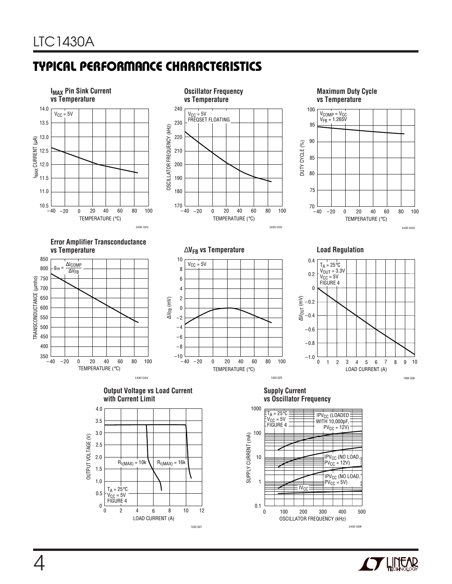# **TYPICAL PERFORMANCE CHARACTERISTICS**



1430 G07



1430 G08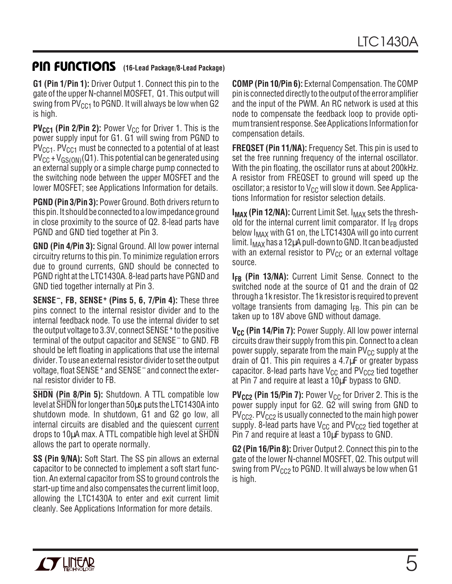# **PIN FUNCTIONS** (16-Lead Package/8-Lead Package)

**G1 (Pin 1/Pin 1):** Driver Output 1. Connect this pin to the gate of the upper N-channel MOSFET, Q1. This output will swing from  $PV_{CG1}$  to PGND. It will always be low when G2 is high.

**PV<sub>CC1</sub>** (Pin 2/Pin 2): Power V<sub>CC</sub> for Driver 1. This is the power supply input for G1. G1 will swing from PGND to  $PV_{CCA}$ . PV<sub>CC1</sub> must be connected to a potential of at least  $PV_{CC} + V_{GS(ON)}(Q1)$ . This potential can be generated using an external supply or a simple charge pump connected to the switching node between the upper MOSFET and the lower MOSFET; see Applications Information for details.

**PGND (Pin 3/Pin 3):** Power Ground. Both drivers return to this pin. It should be connected to a low impedance ground in close proximity to the source of Q2. 8-lead parts have PGND and GND tied together at Pin 3.

**GND (Pin 4/Pin 3):** Signal Ground. All low power internal circuitry returns to this pin. To minimize regulation errors due to ground currents, GND should be connected to PGND right at the LTC1430A. 8-lead parts have PGND and GND tied together internally at Pin 3.

**SENSE–, FB, SENSE+ (Pins 5, 6, 7/Pin 4):** These three pins connect to the internal resistor divider and to the internal feedback node. To use the internal divider to set the output voltage to 3.3V, connect SENSE+ to the positive terminal of the output capacitor and SENSE– to GND. FB should be left floating in applications that use the internal divider. To use an external resistor divider to set the output voltage, float SENSE+ and SENSE– and connect the external resistor divider to FB.

**SHDN (Pin 8/Pin 5):** Shutdown. A TTL compatible low level at SHDN for longer than 50µs puts the LTC1430A into shutdown mode. In shutdown, G1 and G2 go low, all internal circuits are disabled and the quiescent current drops to 10µA max. A TTL compatible high level at SHDN allows the part to operate normally.

**SS (Pin 9/NA):** Soft Start. The SS pin allows an external capacitor to be connected to implement a soft start function. An external capacitor from SS to ground controls the start-up time and also compensates the current limit loop, allowing the LTC1430A to enter and exit current limit cleanly. See Applications Information for more details.

**COMP (Pin 10/Pin 6):** External Compensation. The COMP pin is connected directly to the output of the error amplifier and the input of the PWM. An RC network is used at this node to compensate the feedback loop to provide optimum transient response. See Applications Information for compensation details.

**FREQSET (Pin 11/NA):** Frequency Set. This pin is used to set the free running frequency of the internal oscillator. With the pin floating, the oscillator runs at about 200kHz. A resistor from FREQSET to ground will speed up the oscillator; a resistor to  $V_{CC}$  will slow it down. See Applications Information for resistor selection details.

**I<sub>MAX</sub> (Pin 12/NA):** Current Limit Set. I<sub>MAX</sub> sets the threshold for the internal current limit comparator. If  $I_{FB}$  drops below  $I_{MAX}$  with G1 on, the LTC1430A will go into current limit. I<sub>MAX</sub> has a 12µA pull-down to GND. It can be adjusted with an external resistor to  $PV_{CC}$  or an external voltage source.

**I<sub>FB</sub>** (Pin 13/NA): Current Limit Sense. Connect to the switched node at the source of Q1 and the drain of Q2 through a 1k resistor. The 1k resistor is required to prevent voltage transients from damaging  $I_{FB}$ . This pin can be taken up to 18V above GND without damage.

**V<sub>CC</sub>** (Pin 14/Pin 7): Power Supply. All low power internal circuits draw their supply from this pin. Connect to a clean power supply, separate from the main  $PV_{CC}$  supply at the drain of Q1. This pin requires a 4.7µF or greater bypass capacitor. 8-lead parts have  $V_{CC}$  and  $PV_{CC}$  tied together at Pin 7 and require at least a 10µF bypass to GND.

**PV<sub>CC2</sub>** (Pin 15/Pin 7): Power V<sub>CC</sub> for Driver 2. This is the power supply input for G2. G2 will swing from GND to  $PV<sub>CC2</sub>$ . PV<sub>CC2</sub> is usually connected to the main high power supply. 8-lead parts have  $V_{CC}$  and  $PV_{CC2}$  tied together at Pin 7 and require at least a 10µF bypass to GND.

**G2 (Pin 16/Pin 8):** Driver Output 2. Connect this pin to the gate of the lower N-channel MOSFET, Q2. This output will swing from  $PV_{CC2}$  to PGND. It will always be low when G1 is high.

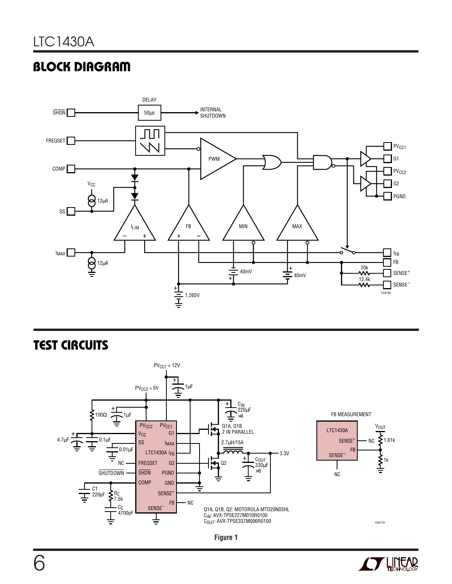# **BLOCK DIAGRAM**



### **TEST CIRCUITS**





1430 F01

 $\xi$ <sub>1.61k</sub>

**V<sub>OUT</sub>** 

}<br>}™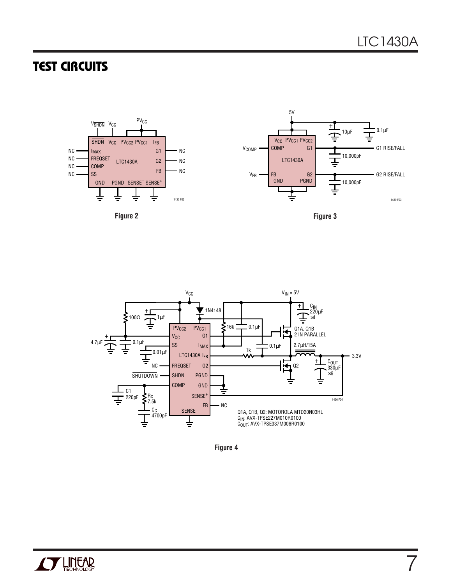7

## **TEST CIRCUITS**





**Figure 4**

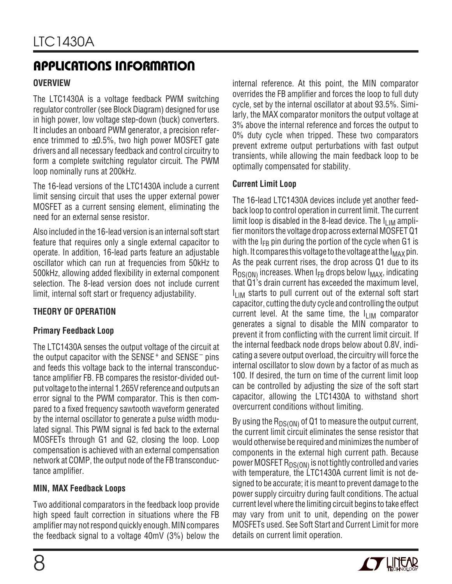# **APPLICATIONS INFORMATION U W U U**

#### **OVERVIEW**

The LTC1430A is a voltage feedback PWM switching regulator controller (see Block Diagram) designed for use in high power, low voltage step-down (buck) converters. It includes an onboard PWM generator, a precision reference trimmed to  $\pm 0.5$ %, two high power MOSFET gate drivers and all necessary feedback and control circuitry to form a complete switching regulator circuit. The PWM loop nominally runs at 200kHz.

The 16-lead versions of the LTC1430A include a current limit sensing circuit that uses the upper external power MOSFET as a current sensing element, eliminating the need for an external sense resistor.

Also included in the 16-lead version is an internal soft start feature that requires only a single external capacitor to operate. In addition, 16-lead parts feature an adjustable oscillator which can run at frequencies from 50kHz to 500kHz, allowing added flexibility in external component selection. The 8-lead version does not include current limit, internal soft start or frequency adjustability.

### **THEORY OF OPERATION**

### **Primary Feedback Loop**

The LTC1430A senses the output voltage of the circuit at the output capacitor with the SENSE<sup>+</sup> and SENSE<sup>-</sup> pins and feeds this voltage back to the internal transconductance amplifier FB. FB compares the resistor-divided output voltage to the internal 1.265V reference and outputs an error signal to the PWM comparator. This is then compared to a fixed frequency sawtooth waveform generated by the internal oscillator to generate a pulse width modulated signal. This PWM signal is fed back to the external MOSFETs through G1 and G2, closing the loop. Loop compensation is achieved with an external compensation network at COMP, the output node of the FB transconductance amplifier.

#### **MIN, MAX Feedback Loops**

Two additional comparators in the feedback loop provide high speed fault correction in situations where the FB amplifier may not respond quickly enough. MIN compares the feedback signal to a voltage 40mV (3%) below the internal reference. At this point, the MIN comparator overrides the FB amplifier and forces the loop to full duty cycle, set by the internal oscillator at about 93.5%. Similarly, the MAX comparator monitors the output voltage at 3% above the internal reference and forces the output to 0% duty cycle when tripped. These two comparators prevent extreme output perturbations with fast output transients, while allowing the main feedback loop to be optimally compensated for stability.

#### **Current Limit Loop**

The 16-lead LTC1430A devices include yet another feedback loop to control operation in current limit. The current limit loop is disabled in the 8-lead device. The  $I_{LIM}$  amplifier monitors the voltage drop across external MOSFET Q1 with the  $I_{FB}$  pin during the portion of the cycle when G1 is high. It compares this voltage to the voltage at the  $I_{MAX}$  pin. As the peak current rises, the drop across Q1 due to its  $R_{DS(ON)}$  increases. When  $I_{FB}$  drops below  $I_{MAX}$ , indicating that Q1's drain current has exceeded the maximum level,  $I_{LIM}$  starts to pull current out of the external soft start capacitor, cutting the duty cycle and controlling the output current level. At the same time, the  $I_{\text{LIM}}$  comparator generates a signal to disable the MIN comparator to prevent it from conflicting with the current limit circuit. If the internal feedback node drops below about 0.8V, indicating a severe output overload, the circuitry will force the internal oscillator to slow down by a factor of as much as 100. If desired, the turn on time of the current limit loop can be controlled by adjusting the size of the soft start capacitor, allowing the LTC1430A to withstand short overcurrent conditions without limiting.

By using the  $R_{DS(ON)}$  of Q1 to measure the output current, the current limit circuit eliminates the sense resistor that would otherwise be required and minimizes the number of components in the external high current path. Because power MOSFET  $R_{DS(ON)}$  is not tightly controlled and varies with temperature, the LTC1430A current limit is not designed to be accurate; it is meant to prevent damage to the power supply circuitry during fault conditions. The actual current level where the limiting circuit begins to take effect may vary from unit to unit, depending on the power MOSFETs used. See Soft Start and Current Limit for more details on current limit operation.

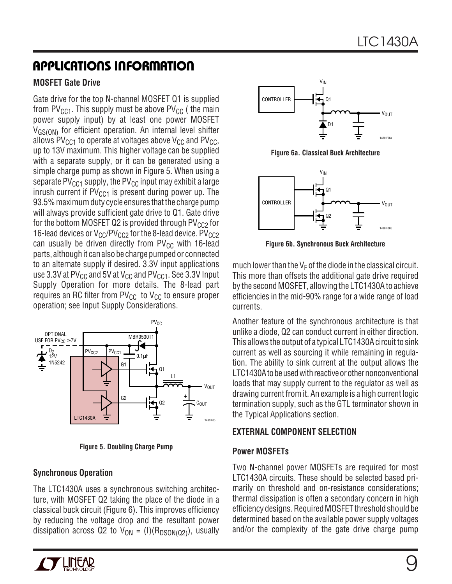### **APPLICATIONS INFORMATION U W U U**

#### **MOSFET Gate Drive**

Gate drive for the top N-channel MOSFET Q1 is supplied from PV<sub>CC1</sub>. This supply must be above PV<sub>CC</sub> (the main power supply input) by at least one power MOSFET V<sub>GS(ON)</sub> for efficient operation. An internal level shifter allows  $PV<sub>CC1</sub>$  to operate at voltages above  $V<sub>CC</sub>$  and  $PV<sub>CC</sub>$ , up to 13V maximum. This higher voltage can be supplied with a separate supply, or it can be generated using a simple charge pump as shown in Figure 5. When using a separate PV<sub>CC1</sub> supply, the PV<sub>CC</sub> input may exhibit a large inrush current if  $PV_{CCA}$  is present during power up. The 93.5% maximum duty cycle ensures that the charge pump will always provide sufficient gate drive to Q1. Gate drive for the bottom MOSFET Q2 is provided through  $PV_{CC2}$  for 16-lead devices or  $V_{CC}/PV_{CC2}$  for the 8-lead device.  $PV_{CC2}$ can usually be driven directly from  $PV_{CC}$  with 16-lead parts, although it can also be charge pumped or connected to an alternate supply if desired. 3.3V input applications use 3.3V at PV $_{\text{CC}}$  and 5V at V<sub>CC</sub> and PV<sub>CC1</sub>. See 3.3V Input Supply Operation for more details. The 8-lead part requires an RC filter from  $PV_{CC}$  to  $V_{CC}$  to ensure proper operation; see Input Supply Considerations.



**Figure 5. Doubling Charge Pump**

#### **Synchronous Operation**

The LTC1430A uses a synchronous switching architecture, with MOSFET Q2 taking the place of the diode in a classical buck circuit (Figure 6). This improves efficiency by reducing the voltage drop and the resultant power dissipation across Q2 to  $V_{ON} = (I)(R_{DSON(Q2)})$ , usually



**Figure 6a. Classical Buck Architecture**



**Figure 6b. Synchronous Buck Architecture**

much lower than the  $V_F$  of the diode in the classical circuit. This more than offsets the additional gate drive required by the second MOSFET, allowing the LTC1430A to achieve efficiencies in the mid-90% range for a wide range of load currents.

Another feature of the synchronous architecture is that unlike a diode, Q2 can conduct current in either direction. This allows the output of a typical LTC1430A circuit to sink current as well as sourcing it while remaining in regulation. The ability to sink current at the output allows the LTC1430A to be used with reactive or other nonconventional loads that may supply current to the regulator as well as drawing current from it. An example is a high current logic termination supply, such as the GTL terminator shown in the Typical Applications section.

#### **EXTERNAL COMPONENT SELECTION**

#### **Power MOSFETs**

Two N-channel power MOSFETs are required for most LTC1430A circuits. These should be selected based primarily on threshold and on-resistance considerations; thermal dissipation is often a secondary concern in high efficiency designs. Required MOSFET threshold should be determined based on the available power supply voltages and/or the complexity of the gate drive charge pump

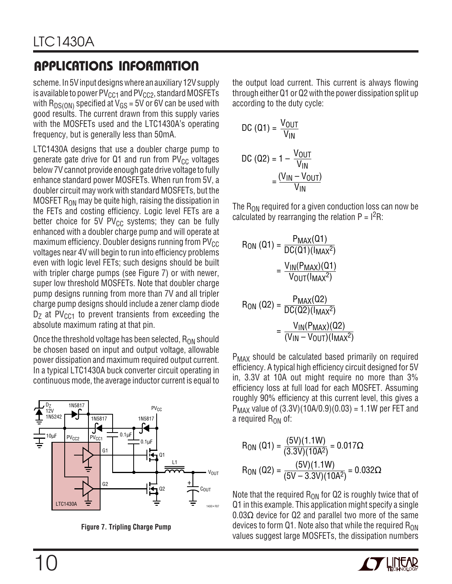scheme. In 5V input designs where an auxiliary 12V supply is available to power  $PV_{CC1}$  and  $PV_{CC2}$ , standard MOSFETs with  $R_{DS(ON)}$  specified at  $V_{GS}$  = 5V or 6V can be used with good results. The current drawn from this supply varies with the MOSFETs used and the LTC1430A's operating frequency, but is generally less than 50mA.

LTC1430A designs that use a doubler charge pump to generate gate drive for  $Q1$  and run from PV<sub>CC</sub> voltages below 7V cannot provide enough gate drive voltage to fully enhance standard power MOSFETs. When run from 5V, a doubler circuit may work with standard MOSFETs, but the MOSFET  $R_{ON}$  may be quite high, raising the dissipation in the FETs and costing efficiency. Logic level FETs are a better choice for 5V  $PV_{CC}$  systems; they can be fully enhanced with a doubler charge pump and will operate at maximum efficiency. Doubler designs running from  $PV_{CC}$ voltages near 4V will begin to run into efficiency problems even with logic level FETs; such designs should be built with tripler charge pumps (see Figure 7) or with newer, super low threshold MOSFETs. Note that doubler charge pump designs running from more than 7V and all tripler charge pump designs should include a zener clamp diode  $D<sub>7</sub>$  at PV<sub>CC1</sub> to prevent transients from exceeding the absolute maximum rating at that pin.

Once the threshold voltage has been selected,  $R_{ON}$  should be chosen based on input and output voltage, allowable power dissipation and maximum required output current. In a typical LTC1430A buck converter circuit operating in continuous mode, the average inductor current is equal to



**Figure 7. Tripling Charge Pump**

the output load current. This current is always flowing through either Q1 or Q2 with the power dissipation split up according to the duty cycle:

DC (Q1) = 
$$
\frac{V_{OUT}}{V_{IN}}
$$
  
DC (Q2) = 1 - 
$$
\frac{V_{OUT}}{V_{IN}}
$$

$$
= \frac{(V_{IN} - V_{OUT})}{V_{IN}}
$$

The  $R_{ON}$  required for a given conduction loss can now be calculated by rearranging the relation  $P = I<sup>2</sup>R$ .

$$
R_{ON} (Q1) = \frac{P_{MAX}(Q1)}{DC(Q1)(I_{MAX}^2)}
$$
  
= 
$$
\frac{V_{IN}(P_{MAX})(Q1)}{V_{OUT}(I_{MAX}^2)}
$$

$$
R_{ON} (Q2) = \frac{P_{MAX}(Q2)}{DC(Q2)(I_{MAX}^2)}
$$
  
= 
$$
\frac{V_{IN}(P_{MAX})(Q2)}{(V_{IN} - V_{OUT})(I_{MAX}^2)}
$$

P<sub>MAX</sub> should be calculated based primarily on required efficiency. A typical high efficiency circuit designed for 5V in, 3.3V at 10A out might require no more than 3% efficiency loss at full load for each MOSFET. Assuming roughly 90% efficiency at this current level, this gives a  $P_{MAX}$  value of  $(3.3V)(10A/0.9)(0.03) = 1.1W$  per FET and a required  $R_{ON}$  of:

R<sub>ON</sub> (Q1) = 
$$
\frac{(5V)(1.1W)}{(3.3V)(10A^2)}
$$
 = 0.017Ω  
R<sub>ON</sub> (Q2) =  $\frac{(5V)(1.1W)}{(5V - 3.3V)(10A^2)}$  = 0.032Ω

Note that the required  $R_{ON}$  for Q2 is roughly twice that of Q1 in this example. This application might specify a single  $0.03\Omega$  device for Q2 and parallel two more of the same devices to form Q1. Note also that while the required  $R_{ON}$ values suggest large MOSFETs, the dissipation numbers

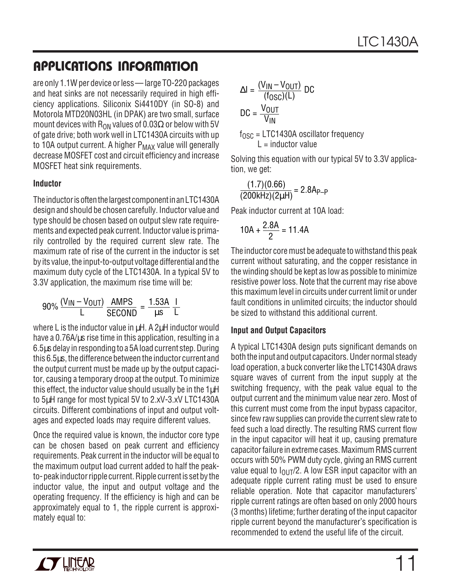are only 1.1W per device or less— large TO-220 packages and heat sinks are not necessarily required in high efficiency applications. Siliconix Si4410DY (in SO-8) and Motorola MTD20N03HL (in DPAK) are two small, surface mount devices with R<sub>ON</sub> values of 0.03 $\Omega$  or below with 5V of gate drive; both work well in LTC1430A circuits with up to 10A output current. A higher  $P_{MAX}$  value will generally decrease MOSFET cost and circuit efficiency and increase MOSFET heat sink requirements.

#### **Inductor**

The inductor is often the largest component in an LTC1430A design and should be chosen carefully. Inductor value and type should be chosen based on output slew rate requirements and expected peak current. Inductor value is primarily controlled by the required current slew rate. The maximum rate of rise of the current in the inductor is set by its value, the input-to-output voltage differential and the maximum duty cycle of the LTC1430A. In a typical 5V to 3.3V application, the maximum rise time will be:

$$
90\% \frac{(V_{IN} - V_{OUT})}{L} \frac{\text{AMPS}}{\text{SECOND}} = \frac{1.53A}{\mu s} \frac{I}{L}
$$

where L is the inductor value in  $\mu$ H. A 2 $\mu$ H inductor would have a 0.76A/us rise time in this application, resulting in a 6.5µs delay in responding to a 5A load current step. During this 6.5µs, the difference between the inductor current and the output current must be made up by the output capacitor, causing a temporary droop at the output. To minimize this effect, the inductor value should usually be in the  $1\mu$ H to 5µH range for most typical 5V to 2.xV-3.xV LTC1430A circuits. Different combinations of input and output voltages and expected loads may require different values.

Once the required value is known, the inductor core type can be chosen based on peak current and efficiency requirements. Peak current in the inductor will be equal to the maximum output load current added to half the peakto- peak inductor ripple current. Ripple current is set by the inductor value, the input and output voltage and the operating frequency. If the efficiency is high and can be approximately equal to 1, the ripple current is approximately equal to:

$$
\Delta I = \frac{(V_{IN} - V_{OUT})}{(f_{OSC})(L)}
$$
DC  
DC =  $\frac{V_{OUT}}{V_{IN}}$   
f<sub>OSC</sub> = LTC1430A oscillator frequency  
I = inductor value

Solving this equation with our typical 5V to 3.3V application, we get:

$$
\frac{(1.7)(0.66)}{(200 \text{kHz})(2 \mu \text{H})} = 2.8 \text{A}_{\text{P-P}}
$$

Peak inductor current at 10A load:

$$
10A + \frac{2.8A}{2} = 11.4A
$$

The inductor core must be adequate to withstand this peak current without saturating, and the copper resistance in the winding should be kept as low as possible to minimize resistive power loss. Note that the current may rise above this maximum level in circuits under current limit or under fault conditions in unlimited circuits; the inductor should be sized to withstand this additional current.

#### **Input and Output Capacitors**

A typical LTC1430A design puts significant demands on both the input and output capacitors. Under normal steady load operation, a buck converter like the LTC1430A draws square waves of current from the input supply at the switching frequency, with the peak value equal to the output current and the minimum value near zero. Most of this current must come from the input bypass capacitor, since few raw supplies can provide the current slew rate to feed such a load directly. The resulting RMS current flow in the input capacitor will heat it up, causing premature capacitor failure in extreme cases. Maximum RMS current occurs with 50% PWM duty cycle, giving an RMS current value equal to  $I_{\text{OUT}}/2$ . A low ESR input capacitor with an adequate ripple current rating must be used to ensure reliable operation. Note that capacitor manufacturers' ripple current ratings are often based on only 2000 hours (3 months) lifetime; further derating of the input capacitor ripple current beyond the manufacturer's specification is recommended to extend the useful life of the circuit.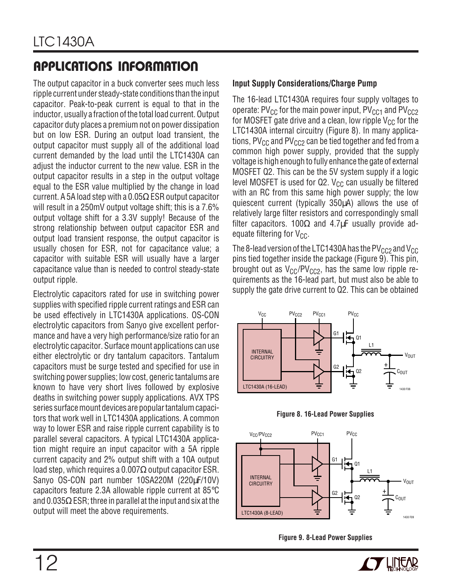The output capacitor in a buck converter sees much less ripple current under steady-state conditions than the input capacitor. Peak-to-peak current is equal to that in the inductor, usually a fraction of the total load current. Output capacitor duty places a premium not on power dissipation but on low ESR. During an output load transient, the output capacitor must supply all of the additional load current demanded by the load until the LTC1430A can adjust the inductor current to the new value. ESR in the output capacitor results in a step in the output voltage equal to the ESR value multiplied by the change in load current. A 5A load step with a 0.05 $\Omega$  ESR output capacitor will result in a 250mV output voltage shift; this is a 7.6% output voltage shift for a 3.3V supply! Because of the strong relationship between output capacitor ESR and output load transient response, the output capacitor is usually chosen for ESR, not for capacitance value; a capacitor with suitable ESR will usually have a larger capacitance value than is needed to control steady-state output ripple.

Electrolytic capacitors rated for use in switching power supplies with specified ripple current ratings and ESR can be used effectively in LTC1430A applications. OS-CON electrolytic capacitors from Sanyo give excellent performance and have a very high performance/size ratio for an electrolytic capacitor. Surface mount applications can use either electrolytic or dry tantalum capacitors. Tantalum capacitors must be surge tested and specified for use in switching power supplies; low cost, generic tantalums are known to have very short lives followed by explosive deaths in switching power supply applications. AVX TPS series surface mount devices are popular tantalum capacitors that work well in LTC1430A applications. A common way to lower ESR and raise ripple current capability is to parallel several capacitors. A typical LTC1430A application might require an input capacitor with a 5A ripple current capacity and 2% output shift with a 10A output load step, which requires a 0.007 $\Omega$  output capacitor ESR. Sanyo OS-CON part number 10SA220M (220µF/10V) capacitors feature 2.3A allowable ripple current at 85°C and 0.035 $\Omega$  ESR; three in parallel at the input and six at the output will meet the above requirements.

#### **Input Supply Considerations/Charge Pump**

The 16-lead LTC1430A requires four supply voltages to operate: PV<sub>CC</sub> for the main power input, PV<sub>CC1</sub> and PV<sub>CC2</sub> for MOSFET gate drive and a clean, low ripple  $V_{CC}$  for the LTC1430A internal circuitry (Figure 8). In many applications,  $PV_{CC}$  and  $PV_{CC2}$  can be tied together and fed from a common high power supply, provided that the supply voltage is high enough to fully enhance the gate of external MOSFET Q2. This can be the 5V system supply if a logic level MOSFET is used for Q2.  $V_{CC}$  can usually be filtered with an RC from this same high power supply; the low quiescent current (typically 350µA) allows the use of relatively large filter resistors and correspondingly small filter capacitors. 100 $\Omega$  and 4.7uF usually provide adequate filtering for  $V_{CC}$ .

The 8-lead version of the LTC1430A has the  $PV_{CC2}$  and  $V_{CC}$ pins tied together inside the package (Figure 9). This pin, brought out as  $V_{CC}/PV_{CC2}$ , has the same low ripple requirements as the 16-lead part, but must also be able to supply the gate drive current to Q2. This can be obtained









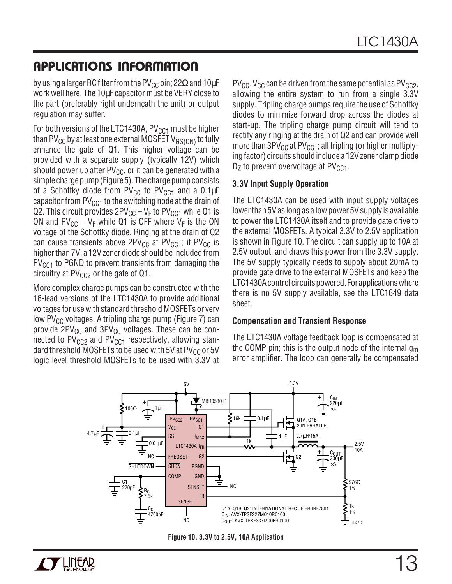by using a larger RC filter from the PV<sub>CC</sub> pin; 22 $\Omega$  and 10µF work well here. The 10µF capacitor must be VERY close to the part (preferably right underneath the unit) or output regulation may suffer.

For both versions of the LTC1430A,  $PV<sub>CC1</sub>$  must be higher than PV<sub>CC</sub> by at least one external MOSFET V<sub>GS(ON)</sub> to fully enhance the gate of Q1. This higher voltage can be provided with a separate supply (typically 12V) which should power up after  $PV_{CC}$ , or it can be generated with a simple charge pump (Figure 5). The charge pump consists of a Schottky diode from PV<sub>CC</sub> to PV<sub>CC1</sub> and a  $0.1 \mu$ F capacitor from  $PV<sub>CC1</sub>$  to the switching node at the drain of Q2. This circuit provides  $2PV_{CC} - V_F$  to  $PV_{CC1}$  while Q1 is ON and  $PV_{CC} - V_F$  while Q1 is OFF where  $V_F$  is the ON voltage of the Schottky diode. Ringing at the drain of Q2 can cause transients above  $2PV_{CC}$  at  $PV_{CC1}$ ; if  $PV_{CC}$  is higher than 7V, a 12V zener diode should be included from  $PV<sub>CC1</sub>$  to PGND to prevent transients from damaging the circuitry at  $PV_{CC2}$  or the gate of Q1.

More complex charge pumps can be constructed with the 16-lead versions of the LTC1430A to provide additional voltages for use with standard threshold MOSFETs or very low PV<sub>CC</sub> voltages. A tripling charge pump (Figure 7) can provide  $2PV_{CC}$  and  $3PV_{CC}$  voltages. These can be connected to  $PV_{CC2}$  and  $PV_{CC1}$  respectively, allowing standard threshold MOSFETs to be used with 5V at  $PV_{CC}$  or 5V logic level threshold MOSFETs to be used with 3.3V at  $PV_{CC}$ . V<sub>CC</sub> can be driven from the same potential as  $PV_{CC2}$ , allowing the entire system to run from a single 3.3V supply. Tripling charge pumps require the use of Schottky diodes to minimize forward drop across the diodes at start-up. The tripling charge pump circuit will tend to rectify any ringing at the drain of Q2 and can provide well more than  $3PV_{CC}$  at  $PV_{CC1}$ ; all tripling (or higher multiplying factor) circuits should include a 12V zener clamp diode  $D<sub>7</sub>$  to prevent overvoltage at PV<sub>CC1</sub>.

#### **3.3V Input Supply Operation**

The LTC1430A can be used with input supply voltages lower than 5V as long as a low power 5V supply is available to power the LTC1430A itself and to provide gate drive to the external MOSFETs. A typical 3.3V to 2.5V application is shown in Figure 10. The circuit can supply up to 10A at 2.5V output, and draws this power from the 3.3V supply. The 5V supply typically needs to supply about 20mA to provide gate drive to the external MOSFETs and keep the LTC1430A control circuits powered. For applications where there is no 5V supply available, see the LTC1649 data sheet.

#### **Compensation and Transient Response**

The LTC1430A voltage feedback loop is compensated at the COMP pin; this is the output node of the internal  $g_m$ error amplifier. The loop can generally be compensated



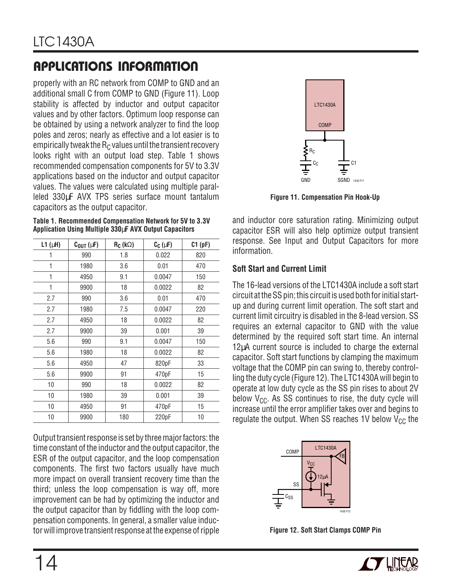properly with an RC network from COMP to GND and an additional small C from COMP to GND (Figure 11). Loop stability is affected by inductor and output capacitor values and by other factors. Optimum loop response can be obtained by using a network analyzer to find the loop poles and zeros; nearly as effective and a lot easier is to empirically tweak the  $R<sub>C</sub>$  values until the transient recovery looks right with an output load step. Table 1 shows recommended compensation components for 5V to 3.3V applications based on the inductor and output capacitor values. The values were calculated using multiple paralleled 330µF AVX TPS series surface mount tantalum capacitors as the output capacitor.

**Table 1. Recommended Compensation Network for 5V to 3.3V Application Using Multiple 330**µ**F AVX Output Capacitors**

| $L1$ ( $\mu$ H) | $C_{OUT}$ ( $\mu$ F) | $R_C$ (k $\Omega$ ) | $C_C(\mu F)$ | C1(pF) |
|-----------------|----------------------|---------------------|--------------|--------|
| 1               | 990                  | 1.8                 | 0.022        | 820    |
| 1               | 1980                 | 3.6                 | 0.01         | 470    |
| 1               | 4950                 | 9.1                 | 0.0047       | 150    |
| 1               | 9900                 | 18                  | 0.0022       | 82     |
| 2.7             | 990                  | 3.6                 | 0.01         | 470    |
| 2.7             | 1980                 | 7.5                 | 0.0047       | 220    |
| 2.7             | 4950                 | 18                  | 0.0022       | 82     |
| 2.7             | 9900                 | 39                  | 0.001        | 39     |
| 5.6             | 990                  | 9.1                 | 0.0047       | 150    |
| 5.6             | 1980                 | 18                  | 0.0022       | 82     |
| 5.6             | 4950                 | 47                  | 820pF        | 33     |
| 5.6             | 9900                 | 91                  | 470pF        | 15     |
| 10              | 990                  | 18                  | 0.0022       | 82     |
| 10              | 1980                 | 39                  | 0.001        | 39     |
| 10              | 4950                 | 91                  | 470pF        | 15     |
| 10              | 9900                 | 180                 | 220pF        | 10     |

Output transient response is set by three major factors: the time constant of the inductor and the output capacitor, the ESR of the output capacitor, and the loop compensation components. The first two factors usually have much more impact on overall transient recovery time than the third; unless the loop compensation is way off, more improvement can be had by optimizing the inductor and the output capacitor than by fiddling with the loop compensation components. In general, a smaller value inductor will improve transient response at the expense of ripple



**Figure 11. Compensation Pin Hook-Up**

and inductor core saturation rating. Minimizing output capacitor ESR will also help optimize output transient response. See Input and Output Capacitors for more information.

#### **Soft Start and Current Limit**

The 16-lead versions of the LTC1430A include a soft start circuit at the SS pin; this circuit is used both for initial startup and during current limit operation. The soft start and current limit circuitry is disabled in the 8-lead version. SS requires an external capacitor to GND with the value determined by the required soft start time. An internal 12µA current source is included to charge the external capacitor. Soft start functions by clamping the maximum voltage that the COMP pin can swing to, thereby controlling the duty cycle (Figure 12). The LTC1430A will begin to operate at low duty cycle as the SS pin rises to about 2V below  $V_{CC}$ . As SS continues to rise, the duty cycle will increase until the error amplifier takes over and begins to regulate the output. When SS reaches 1V below  $V_{CC}$  the



**Figure 12. Soft Start Clamps COMP Pin**

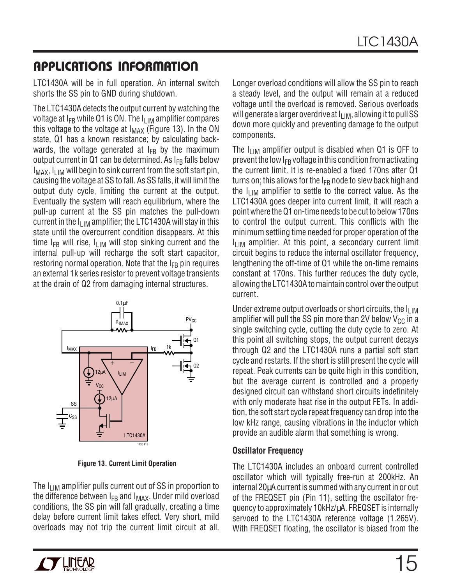LTC1430A will be in full operation. An internal switch shorts the SS pin to GND during shutdown.

The LTC1430A detects the output current by watching the voltage at  $I_{FB}$  while Q1 is ON. The  $I_{LIM}$  amplifier compares this voltage to the voltage at  $I_{MAX}$  (Figure 13). In the ON state, Q1 has a known resistance; by calculating backwards, the voltage generated at  $I_{FB}$  by the maximum output current in Q1 can be determined. As  $I_{FB}$  falls below  $I_{MAX}$ ,  $I_{IIM}$  will begin to sink current from the soft start pin, causing the voltage at SS to fall. As SS falls, it will limit the output duty cycle, limiting the current at the output. Eventually the system will reach equilibrium, where the pull-up current at the SS pin matches the pull-down current in the  $I_{\text{LIM}}$  amplifier; the LTC1430A will stay in this state until the overcurrent condition disappears. At this time  $I_{FR}$  will rise,  $I_{LIM}$  will stop sinking current and the internal pull-up will recharge the soft start capacitor, restoring normal operation. Note that the  $I_{FB}$  pin requires an external 1k series resistor to prevent voltage transients at the drain of Q2 from damaging internal structures.



**Figure 13. Current Limit Operation**

The  $I_{LIM}$  amplifier pulls current out of SS in proportion to the difference between  $I_{FB}$  and  $I_{MAX}$ . Under mild overload conditions, the SS pin will fall gradually, creating a time delay before current limit takes effect. Very short, mild overloads may not trip the current limit circuit at all. Longer overload conditions will allow the SS pin to reach a steady level, and the output will remain at a reduced voltage until the overload is removed. Serious overloads will generate a larger overdrive at  $I_{\text{LIM}}$ , allowing it to pull SS down more quickly and preventing damage to the output components.

The  $I_{LIM}$  amplifier output is disabled when Q1 is OFF to prevent the low  $I_{FB}$  voltage in this condition from activating the current limit. It is re-enabled a fixed 170ns after Q1 turns on; this allows for the  $I_{FB}$  node to slew back high and the  $I_{\text{LIM}}$  amplifier to settle to the correct value. As the LTC1430A goes deeper into current limit, it will reach a point where the Q1 on-time needs to be cut to below 170ns to control the output current. This conflicts with the minimum settling time needed for proper operation of the  $I_{LIM}$  amplifier. At this point, a secondary current limit circuit begins to reduce the internal oscillator frequency, lengthening the off-time of Q1 while the on-time remains constant at 170ns. This further reduces the duty cycle, allowing the LTC1430A to maintain control over the output current.

Under extreme output overloads or short circuits, the ILIM amplifier will pull the SS pin more than 2V below  $V_{CC}$  in a single switching cycle, cutting the duty cycle to zero. At this point all switching stops, the output current decays through Q2 and the LTC1430A runs a partial soft start cycle and restarts. If the short is still present the cycle will repeat. Peak currents can be quite high in this condition, but the average current is controlled and a properly designed circuit can withstand short circuits indefinitely with only moderate heat rise in the output FETs. In addition, the soft start cycle repeat frequency can drop into the low kHz range, causing vibrations in the inductor which provide an audible alarm that something is wrong.

#### **Oscillator Frequency**

The LTC1430A includes an onboard current controlled oscillator which will typically free-run at 200kHz. An internal 20µA current is summed with any current in or out of the FREQSET pin (Pin 11), setting the oscillator frequency to approximately 10kHz/µA. FREQSET is internally servoed to the LTC1430A reference voltage (1.265V). With FREQSET floating, the oscillator is biased from the

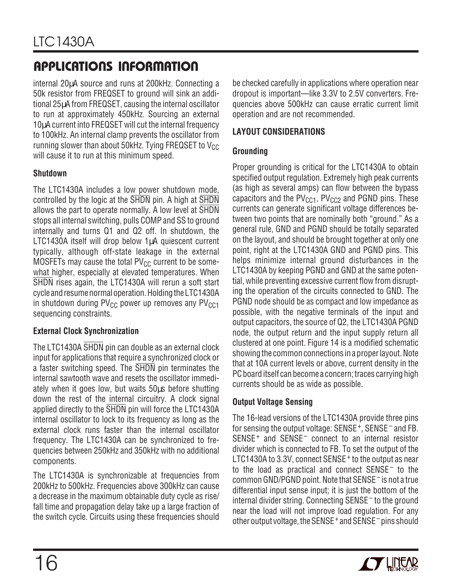internal 20µA source and runs at 200kHz. Connecting a 50k resistor from FREQSET to ground will sink an additional 25µA from FREQSET, causing the internal oscillator to run at approximately 450kHz. Sourcing an external 10µA current into FREQSET will cut the internal frequency to 100kHz. An internal clamp prevents the oscillator from running slower than about 50kHz. Tying FREQSET to  $V_{CC}$ will cause it to run at this minimum speed.

#### **Shutdown**

The LTC1430A includes a low power shutdown mode, controlled by the logic at the SHDN pin. A high at SHDN allows the part to operate normally. A low level at SHDN stops all internal switching, pulls COMP and SS to ground internally and turns Q1 and Q2 off. In shutdown, the LTC1430A itself will drop below 1µA quiescent current typically, although off-state leakage in the external MOSFETs may cause the total  $PV_{CC}$  current to be somewhat higher, especially at elevated temperatures. When SHDN rises again, the LTC1430A will rerun a soft start cycle and resume normal operation. Holding the LTC1430A in shutdown during  $PV_{CC}$  power up removes any  $PV_{CC1}$ sequencing constraints.

#### **External Clock Synchronization**

The LTC1430A SHDN pin can double as an external clock input for applications that require a synchronized clock or a faster switching speed. The SHDN pin terminates the internal sawtooth wave and resets the oscillator immediately when it goes low, but waits 50µs before shutting down the rest of the internal circuitry. A clock signal applied directly to the SHDN pin will force the LTC1430A internal oscillator to lock to its frequency as long as the external clock runs faster than the internal oscillator frequency. The LTC1430A can be synchronized to frequencies between 250kHz and 350kHz with no additional components.

The LTC1430A is synchronizable at frequencies from 200kHz to 500kHz. Frequencies above 300kHz can cause a decrease in the maximum obtainable duty cycle as rise/ fall time and propagation delay take up a large fraction of the switch cycle. Circuits using these frequencies should

be checked carefully in applications where operation near dropout is important—like 3.3V to 2.5V converters. Frequencies above 500kHz can cause erratic current limit operation and are not recommended.

#### **LAYOUT CONSIDERATIONS**

### **Grounding**

Proper grounding is critical for the LTC1430A to obtain specified output regulation. Extremely high peak currents (as high as several amps) can flow between the bypass capacitors and the  $PV_{CCA}$ ,  $PV_{CCA}$  and PGND pins. These currents can generate significant voltage differences between two points that are nominally both "ground." As a general rule, GND and PGND should be totally separated on the layout, and should be brought together at only one point, right at the LTC1430A GND and PGND pins. This helps minimize internal ground disturbances in the LTC1430A by keeping PGND and GND at the same potential, while preventing excessive current flow from disrupting the operation of the circuits connected to GND. The PGND node should be as compact and low impedance as possible, with the negative terminals of the input and output capacitors, the source of Q2, the LTC1430A PGND node, the output return and the input supply return all clustered at one point. Figure 14 is a modified schematic showing the common connections in a proper layout. Note that at 10A current levels or above, current density in the PC board itself can become a concern; traces carrying high currents should be as wide as possible.

### **Output Voltage Sensing**

The 16-lead versions of the LTC1430A provide three pins for sensing the output voltage: SENSE<sup>+</sup>, SENSE<sup>-</sup> and FB. SENSE+ and SENSE– connect to an internal resistor divider which is connected to FB. To set the output of the LTC1430A to 3.3V, connect SENSE<sup>+</sup> to the output as near to the load as practical and connect SENSE– to the common GND/PGND point. Note that SENSE– is not a true differential input sense input; it is just the bottom of the internal divider string. Connecting SENSE– to the ground near the load will not improve load regulation. For any other output voltage, the SENSE+ and SENSE– pins should

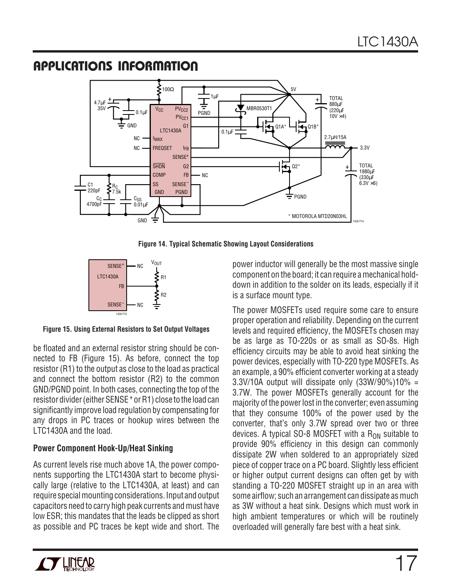

**Figure 14. Typical Schematic Showing Layout Considerations**



**Figure 15. Using External Resistors to Set Output Voltages**

be floated and an external resistor string should be connected to FB (Figure 15). As before, connect the top resistor (R1) to the output as close to the load as practical and connect the bottom resistor (R2) to the common GND/PGND point. In both cases, connecting the top of the resistor divider (either SENSE<sup>+</sup> or R1) close to the load can significantly improve load regulation by compensating for any drops in PC traces or hookup wires between the LTC1430A and the load.

### **Power Component Hook-Up/Heat Sinking**

As current levels rise much above 1A, the power components supporting the LTC1430A start to become physically large (relative to the LTC1430A, at least) and can require special mounting considerations. Input and output capacitors need to carry high peak currents and must have low ESR; this mandates that the leads be clipped as short as possible and PC traces be kept wide and short. The

power inductor will generally be the most massive single component on the board; it can require a mechanical holddown in addition to the solder on its leads, especially if it is a surface mount type.

The power MOSFETs used require some care to ensure proper operation and reliability. Depending on the current levels and required efficiency, the MOSFETs chosen may be as large as TO-220s or as small as SO-8s. High efficiency circuits may be able to avoid heat sinking the power devices, especially with TO-220 type MOSFETs. As an example, a 90% efficient converter working at a steady  $3.3V/10A$  output will dissipate only  $(33W/90\%)10\% =$ 3.7W. The power MOSFETs generally account for the majority of the power lost in the converter; even assuming that they consume 100% of the power used by the converter, that's only 3.7W spread over two or three devices. A typical SO-8 MOSFET with a  $R_{ON}$  suitable to provide 90% efficiency in this design can commonly dissipate 2W when soldered to an appropriately sized piece of copper trace on a PC board. Slightly less efficient or higher output current designs can often get by with standing a TO-220 MOSFET straight up in an area with some airflow; such an arrangement can dissipate as much as 3W without a heat sink. Designs which must work in high ambient temperatures or which will be routinely overloaded will generally fare best with a heat sink.

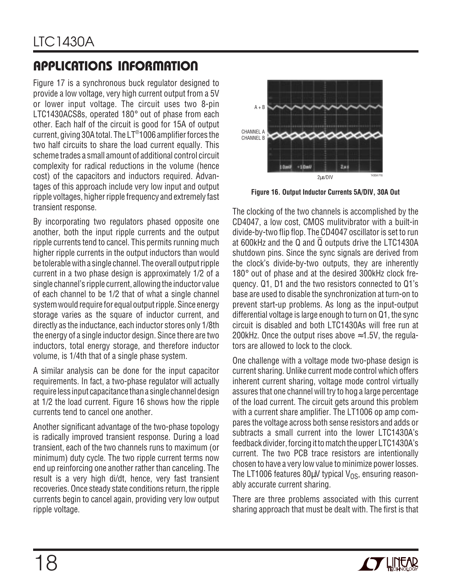Figure 17 is a synchronous buck regulator designed to provide a low voltage, very high current output from a 5V or lower input voltage. The circuit uses two 8-pin LTC1430ACS8s, operated 180° out of phase from each other. Each half of the circuit is good for 15A of output current, giving 30A total. The LT®1006 amplifier forces the two half circuits to share the load current equally. This scheme trades a small amount of additional control circuit complexity for radical reductions in the volume (hence cost) of the capacitors and inductors required. Advantages of this approach include very low input and output ripple voltages, higher ripple frequency and extremely fast transient response.

By incorporating two regulators phased opposite one another, both the input ripple currents and the output ripple currents tend to cancel. This permits running much higher ripple currents in the output inductors than would be tolerable with a single channel. The overall output ripple current in a two phase design is approximately 1/2 of a single channel's ripple current, allowing the inductor value of each channel to be 1/2 that of what a single channel system would require for equal output ripple. Since energy storage varies as the square of inductor current, and directly as the inductance, each inductor stores only 1/8th the energy of a single inductor design. Since there are two inductors, total energy storage, and therefore inductor volume, is 1/4th that of a single phase system.

A similar analysis can be done for the input capacitor requirements. In fact, a two-phase regulator will actually require less input capacitance than a single channel design at 1/2 the load current. Figure 16 shows how the ripple currents tend to cancel one another.

Another significant advantage of the two-phase topology is radically improved transient response. During a load transient, each of the two channels runs to maximum (or minimum) duty cycle. The two ripple current terms now end up reinforcing one another rather than canceling. The result is a very high di/dt, hence, very fast transient recoveries. Once steady state conditions return, the ripple currents begin to cancel again, providing very low output ripple voltage.



**Figure 16. Output Inductor Currents 5A/DIV, 30A Out**

The clocking of the two channels is accomplished by the CD4047, a low cost, CMOS mulitvibrator with a built-in divide-by-two flip flop. The CD4047 oscillator is set to run at 600kHz and the Q and Q outputs drive the LTC1430A shutdown pins. Since the sync signals are derived from the clock's divide-by-two outputs, they are inherently 180° out of phase and at the desired 300kHz clock frequency. Q1, D1 and the two resistors connected to Q1's base are used to disable the synchronization at turn-on to prevent start-up problems. As long as the input-output differential voltage is large enough to turn on Q1, the sync circuit is disabled and both LTC1430As will free run at 200kHz. Once the output rises above  $\approx$  1.5V, the regulators are allowed to lock to the clock.

One challenge with a voltage mode two-phase design is current sharing. Unlike current mode control which offers inherent current sharing, voltage mode control virtually assures that one channel will try to hog a large percentage of the load current. The circuit gets around this problem with a current share amplifier. The LT1006 op amp compares the voltage across both sense resistors and adds or subtracts a small current into the lower LTC1430A's feedback divider, forcing it to match the upper LTC1430A's current. The two PCB trace resistors are intentionally chosen to have a very low value to minimize power losses. The LT1006 features 80 $\mu$ V typical V<sub>OS</sub>, ensuring reasonably accurate current sharing.

There are three problems associated with this current sharing approach that must be dealt with. The first is that

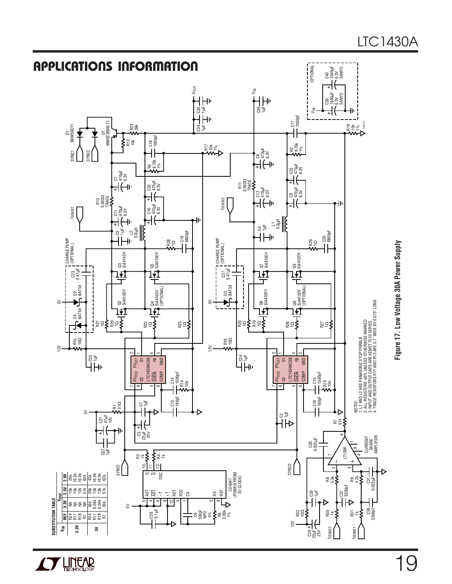

**AV LINEAR**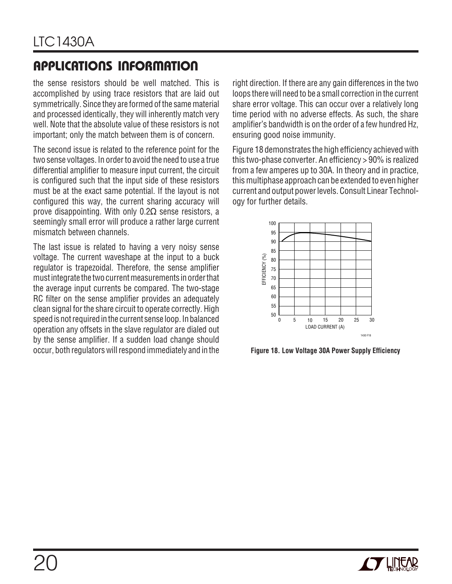the sense resistors should be well matched. This is accomplished by using trace resistors that are laid out symmetrically. Since they are formed of the same material and processed identically, they will inherently match very well. Note that the absolute value of these resistors is not important; only the match between them is of concern.

The second issue is related to the reference point for the two sense voltages. In order to avoid the need to use a true differential amplifier to measure input current, the circuit is configured such that the input side of these resistors must be at the exact same potential. If the layout is not configured this way, the current sharing accuracy will prove disappointing. With only  $0.2\Omega$  sense resistors, a seemingly small error will produce a rather large current mismatch between channels.

The last issue is related to having a very noisy sense voltage. The current waveshape at the input to a buck regulator is trapezoidal. Therefore, the sense amplifier must integrate the two current measurements in order that the average input currents be compared. The two-stage RC filter on the sense amplifier provides an adequately clean signal for the share circuit to operate correctly. High speed is not required in the current sense loop. In balanced operation any offsets in the slave regulator are dialed out by the sense amplifier. If a sudden load change should occur, both regulators will respond immediately and in the

right direction. If there are any gain differences in the two loops there will need to be a small correction in the current share error voltage. This can occur over a relatively long time period with no adverse effects. As such, the share amplifier's bandwidth is on the order of a few hundred Hz, ensuring good noise immunity.

Figure 18 demonstrates the high efficiency achieved with this two-phase converter. An efficiency > 90% is realized from a few amperes up to 30A. In theory and in practice, this multiphase approach can be extended to even higher current and output power levels. Consult Linear Technology for further details.



**Figure 18. Low Voltage 30A Power Supply Efficiency**

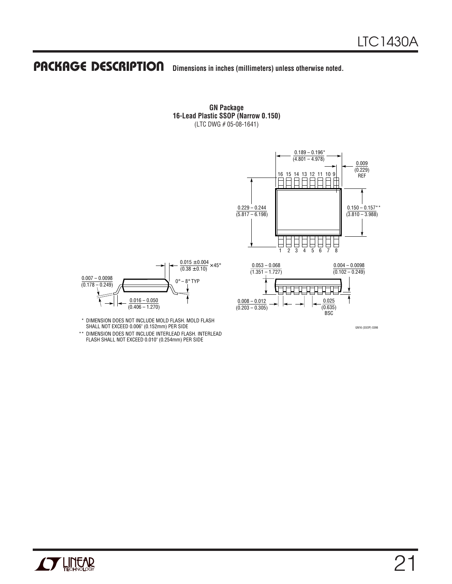### **PACKAGE DESCRIPTION** Dimensions in inches (millimeters) unless otherwise noted.

**GN Package 16-Lead Plastic SSOP (Narrow 0.150)** (LTC DWG # 05-08-1641)





SHALL NOT EXCEED 0.006" (0.152mm) PER SIDE

\*\* DIMENSION DOES NOT INCLUDE INTERLEAD FLASH. INTERLEAD FLASH SHALL NOT EXCEED 0.010" (0.254mm) PER SIDE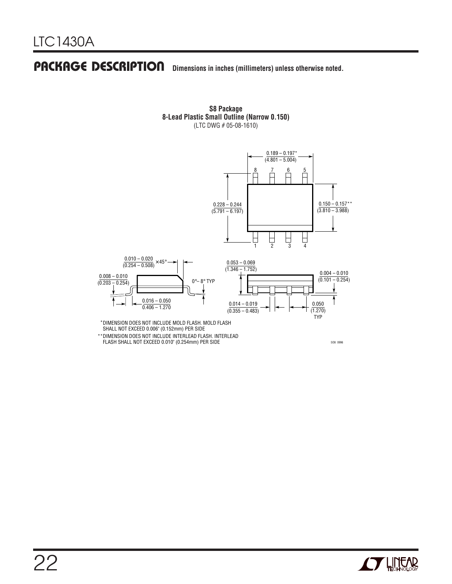### **PACKAGE DESCRIPTION** Dimensions in inches (millimeters) unless otherwise noted.



**S8 Package 8-Lead Plastic Small Outline (Narrow 0.150)** (LTC DWG # 05-08-1610)

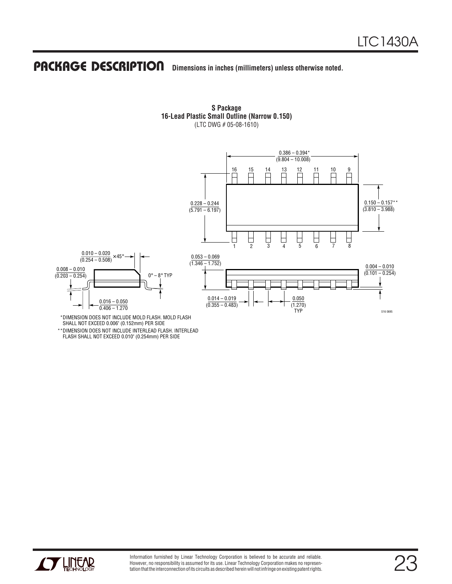### **U PACKAGE DESCRIPTIO Dimensions in inches (millimeters) unless otherwise noted.**



**S Package 16-Lead Plastic Small Outline (Narrow 0.150)** (LTC DWG # 05-08-1610)

DIMENSION DOES NOT INCLUDE INTERLEAD FLASH. INTERLEAD \*\*FLASH SHALL NOT EXCEED 0.010" (0.254mm) PER SIDE